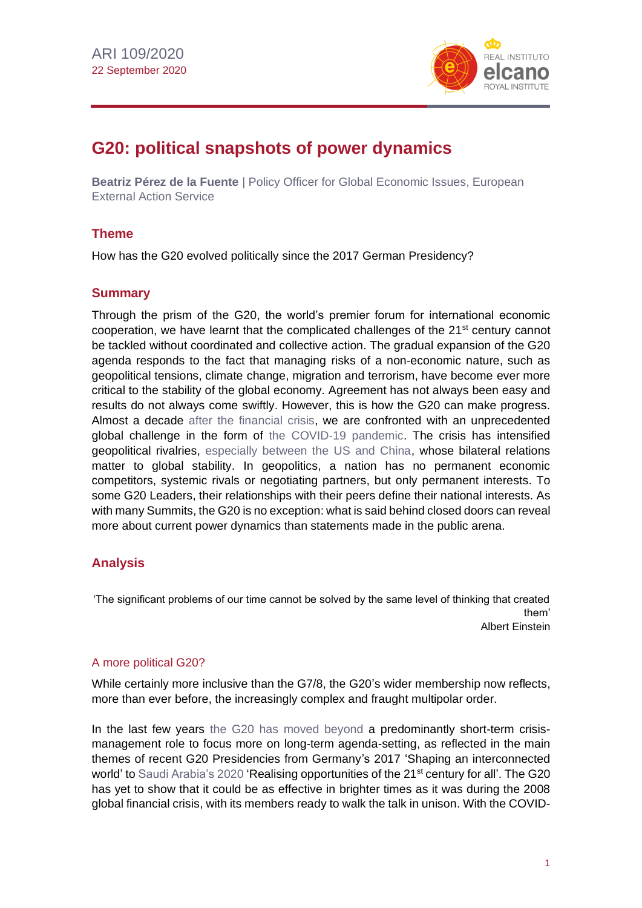

# **G20: political snapshots of power dynamics**

**Beatriz Pérez de la Fuente** | Policy Officer for Global Economic Issues, European External Action Service

## **Theme**

How has the G20 evolved politically since the 2017 German Presidency?

## **Summary**

Through the prism of the G20, the world's premier forum for international economic cooperation, we have learnt that the complicated challenges of the 21<sup>st</sup> century cannot be tackled without coordinated and collective action. The gradual expansion of the G20 agenda responds to the fact that managing risks of a non-economic nature, such as geopolitical tensions, climate change, migration and terrorism, have become ever more critical to the stability of the global economy. Agreement has not always been easy and results do not always come swiftly. However, this is how the G20 can make progress. Almost a decade [after the financial crisis,](http://www.realinstitutoelcano.org/wps/portal/rielcano_en/contenido?WCM_GLOBAL_CONTEXT=/elcano/elcano_in/zonas_in/ari126-2008) we are confronted with an unprecedented global challenge in the form of [the COVID-19 pandemic.](https://especiales.realinstitutoelcano.org/coronavirus/?lang=en) The crisis has intensified geopolitical rivalries, [especially between the US and China,](http://www.realinstitutoelcano.org/wps/portal/rielcano_en/publication?WCM_GLOBAL_CONTEXT=/elcano/elcano_in/publications/etnc-europe-in-the-face-of-us-china-rivalry) whose bilateral relations matter to global stability. In geopolitics, a nation has no permanent economic competitors, systemic rivals or negotiating partners, but only permanent interests. To some G20 Leaders, their relationships with their peers define their national interests. As with many Summits, the G20 is no exception: what is said behind closed doors can reveal more about current power dynamics than statements made in the public arena.

## **Analysis**

'The significant problems of our time cannot be solved by the same level of thinking that created them' Albert Einstein

#### A more political G20?

While certainly more inclusive than the G7/8, the G20's wider membership now reflects, more than ever before, the increasingly complex and fraught multipolar order.

In the last few years [the G20 has moved beyond](https://blog.realinstitutoelcano.org/en/?s=G20) a predominantly short-term crisismanagement role to focus more on long-term agenda-setting, as reflected in the main themes of recent G20 Presidencies from Germany's 2017 'Shaping an interconnected world' to [Saudi Arabia's 2020](https://g20.org/en/Pages/home.aspx) 'Realising opportunities of the 21<sup>st</sup> century for all'. The G20 has yet to show that it could be as effective in brighter times as it was during the 2008 global financial crisis, with its members ready to walk the talk in unison. With the COVID-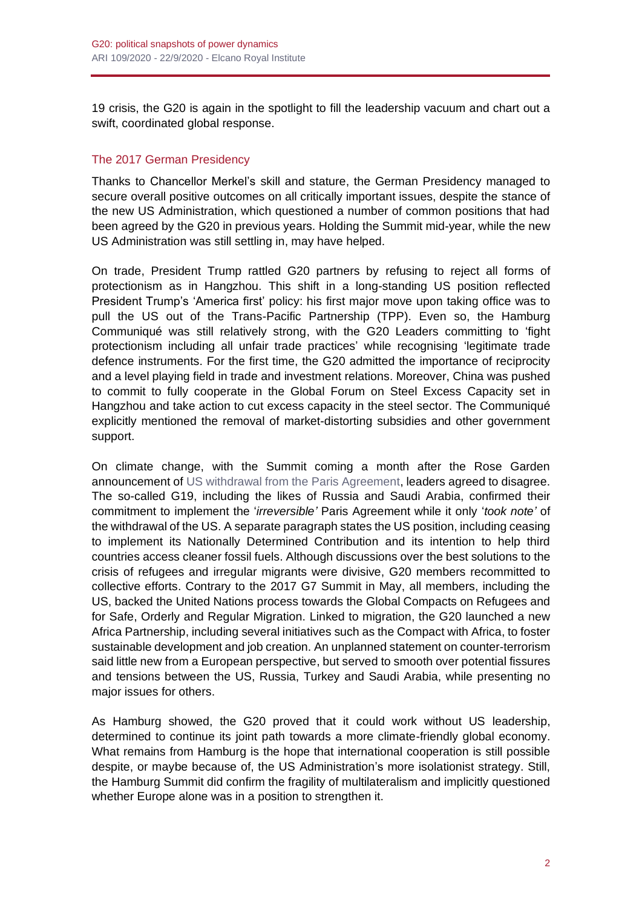19 crisis, the G20 is again in the spotlight to fill the leadership vacuum and chart out a swift, coordinated global response.

## The 2017 German Presidency

Thanks to Chancellor Merkel's skill and stature, the German Presidency managed to secure overall positive outcomes on all critically important issues, despite the stance of the new US Administration, which questioned a number of common positions that had been agreed by the G20 in previous years. Holding the Summit mid-year, while the new US Administration was still settling in, may have helped.

On trade, President Trump rattled G20 partners by refusing to reject all forms of protectionism as in Hangzhou. This shift in a long-standing US position reflected President Trump's 'America first' policy: his first major move upon taking office was to pull the US out of the Trans-Pacific Partnership (TPP). Even so, the Hamburg Communiqué was still relatively strong, with the G20 Leaders committing to 'fight protectionism including all unfair trade practices' while recognising 'legitimate trade defence instruments. For the first time, the G20 admitted the importance of reciprocity and a level playing field in trade and investment relations. Moreover, China was pushed to commit to fully cooperate in the Global Forum on Steel Excess Capacity set in Hangzhou and take action to cut excess capacity in the steel sector. The Communiqué explicitly mentioned the removal of market-distorting subsidies and other government support.

On climate change, with the Summit coming a month after the Rose Garden announcement of [US withdrawal from the Paris Agreement,](https://www.whitehouse.gov/briefings-statements/statement-president-trump-paris-climate-accord/) leaders agreed to disagree. The so-called G19, including the likes of Russia and Saudi Arabia, confirmed their commitment to implement the '*irreversible'* Paris Agreement while it only '*took note'* of the withdrawal of the US. A separate paragraph states the US position, including ceasing to implement its Nationally Determined Contribution and its intention to help third countries access cleaner fossil fuels. Although discussions over the best solutions to the crisis of refugees and irregular migrants were divisive, G20 members recommitted to collective efforts. Contrary to the 2017 G7 Summit in May, all members, including the US, backed the United Nations process towards the Global Compacts on Refugees and for Safe, Orderly and Regular Migration. Linked to migration, the G20 launched a new Africa Partnership, including several initiatives such as the Compact with Africa, to foster sustainable development and job creation. An unplanned statement on counter-terrorism said little new from a European perspective, but served to smooth over potential fissures and tensions between the US, Russia, Turkey and Saudi Arabia, while presenting no major issues for others.

As Hamburg showed, the G20 proved that it could work without US leadership, determined to continue its joint path towards a more climate-friendly global economy. What remains from Hamburg is the hope that international cooperation is still possible despite, or maybe because of, the US Administration's more isolationist strategy. Still, the Hamburg Summit did confirm the fragility of multilateralism and implicitly questioned whether Europe alone was in a position to strengthen it.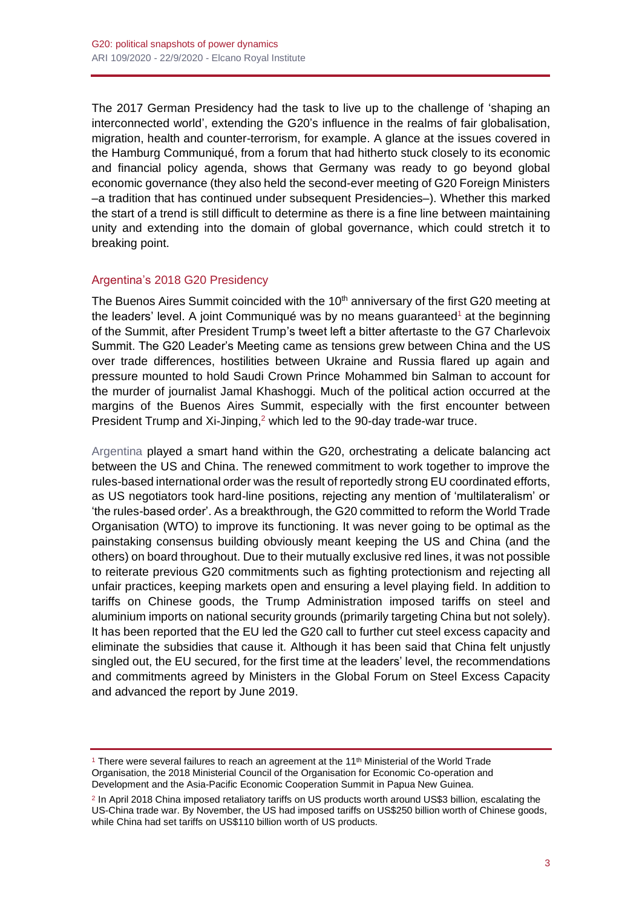The 2017 German Presidency had the task to live up to the challenge of 'shaping an interconnected world', extending the G20's influence in the realms of fair globalisation, migration, health and counter-terrorism, for example. A glance at the issues covered in the Hamburg Communiqué, from a forum that had hitherto stuck closely to its economic and financial policy agenda, shows that Germany was ready to go beyond global economic governance (they also held the second-ever meeting of G20 Foreign Ministers –a tradition that has continued under subsequent Presidencies–). Whether this marked the start of a trend is still difficult to determine as there is a fine line between maintaining unity and extending into the domain of global governance, which could stretch it to breaking point.

#### Argentina's 2018 G20 Presidency

The Buenos Aires Summit coincided with the 10<sup>th</sup> anniversary of the first G20 meeting at the leaders' level. A joint Communiqué was by no means quaranteed<sup>1</sup> at the beginning of the Summit, after President Trump's tweet left a bitter aftertaste to the G7 Charlevoix Summit. The G20 Leader's Meeting came as tensions grew between China and the US over trade differences, hostilities between Ukraine and Russia flared up again and pressure mounted to hold Saudi Crown Prince Mohammed bin Salman to account for the murder of journalist Jamal Khashoggi. Much of the political action occurred at the margins of the Buenos Aires Summit, especially with the first encounter between President Trump and Xi-Jinping,<sup>2</sup> which led to the 90-day trade-war truce.

[Argentina](https://blog.realinstitutoelcano.org/en/an-argentine-g20-a-latin-american-agenda-that-concerns-everyone/) played a smart hand within the G20, orchestrating a delicate balancing act between the US and China. The renewed commitment to work together to improve the rules-based international order was the result of reportedly strong EU coordinated efforts, as US negotiators took hard-line positions, rejecting any mention of 'multilateralism' or 'the rules-based order'. As a breakthrough, the G20 committed to reform the World Trade Organisation (WTO) to improve its functioning. It was never going to be optimal as the painstaking consensus building obviously meant keeping the US and China (and the others) on board throughout. Due to their mutually exclusive red lines, it was not possible to reiterate previous G20 commitments such as fighting protectionism and rejecting all unfair practices, keeping markets open and ensuring a level playing field. In addition to tariffs on Chinese goods, the Trump Administration imposed tariffs on steel and aluminium imports on national security grounds (primarily targeting China but not solely). It has been reported that the EU led the G20 call to further cut steel excess capacity and eliminate the subsidies that cause it. Although it has been said that China felt unjustly singled out, the EU secured, for the first time at the leaders' level, the recommendations and commitments agreed by Ministers in the Global Forum on Steel Excess Capacity and advanced the report by June 2019.

<sup>&</sup>lt;sup>1</sup> There were several failures to reach an agreement at the 11<sup>th</sup> Ministerial of the World Trade Organisation, the 2018 Ministerial Council of the Organisation for Economic Co-operation and Development and the Asia-Pacific Economic Cooperation Summit in Papua New Guinea.

<sup>2</sup> In April 2018 China imposed retaliatory tariffs on US products worth around US\$3 billion, escalating the US-China trade war. By November, the US had imposed tariffs on US\$250 billion worth of Chinese goods, while China had set tariffs on US\$110 billion worth of US products.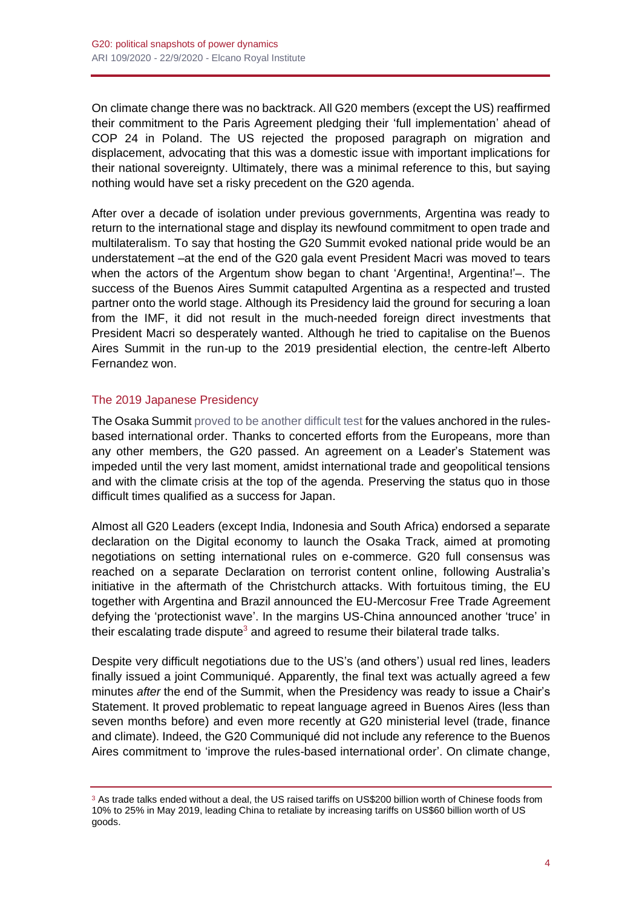On climate change there was no backtrack. All G20 members (except the US) reaffirmed their commitment to the Paris Agreement pledging their 'full implementation' ahead of COP 24 in Poland. The US rejected the proposed paragraph on migration and displacement, advocating that this was a domestic issue with important implications for their national sovereignty. Ultimately, there was a minimal reference to this, but saying nothing would have set a risky precedent on the G20 agenda.

After over a decade of isolation under previous governments, Argentina was ready to return to the international stage and display its newfound commitment to open trade and multilateralism. To say that hosting the G20 Summit evoked national pride would be an understatement –at the end of the G20 gala event President Macri was moved to tears when the actors of the Argentum show began to chant 'Argentina!, Argentina!'–. The success of the Buenos Aires Summit catapulted Argentina as a respected and trusted partner onto the world stage. Although its Presidency laid the ground for securing a loan from the IMF, it did not result in the much-needed foreign direct investments that President Macri so desperately wanted. Although he tried to capitalise on the Buenos Aires Summit in the run-up to the 2019 presidential election, the centre-left Alberto Fernandez won.

#### The 2019 Japanese Presidency

The Osaka Summit [proved to be another difficult test](https://blog.realinstitutoelcano.org/en/g20-not-paralysed-by-5g/) for the values anchored in the rulesbased international order. Thanks to concerted efforts from the Europeans, more than any other members, the G20 passed. An agreement on a Leader's Statement was impeded until the very last moment, amidst international trade and geopolitical tensions and with the climate crisis at the top of the agenda. Preserving the status quo in those difficult times qualified as a success for Japan.

Almost all G20 Leaders (except India, Indonesia and South Africa) endorsed a separate declaration on the Digital economy to launch the Osaka Track, aimed at promoting negotiations on setting international rules on e-commerce. G20 full consensus was reached on a separate Declaration on terrorist content online, following Australia's initiative in the aftermath of the Christchurch attacks. With fortuitous timing, the EU together with Argentina and Brazil announced the EU-Mercosur Free Trade Agreement defying the 'protectionist wave'. In the margins US-China announced another 'truce' in their escalating trade dispute<sup>3</sup> and agreed to resume their bilateral trade talks.

Despite very difficult negotiations due to the US's (and others') usual red lines, leaders finally issued a joint Communiqué. Apparently, the final text was actually agreed a few minutes *after* the end of the Summit, when the Presidency was ready to issue a Chair's Statement. It proved problematic to repeat language agreed in Buenos Aires (less than seven months before) and even more recently at G20 ministerial level (trade, finance and climate). Indeed, the G20 Communiqué did not include any reference to the Buenos Aires commitment to 'improve the rules-based international order'. On climate change,

<sup>3</sup> As trade talks ended without a deal, the US raised tariffs on US\$200 billion worth of Chinese foods from 10% to 25% in May 2019, leading China to retaliate by increasing tariffs on US\$60 billion worth of US goods.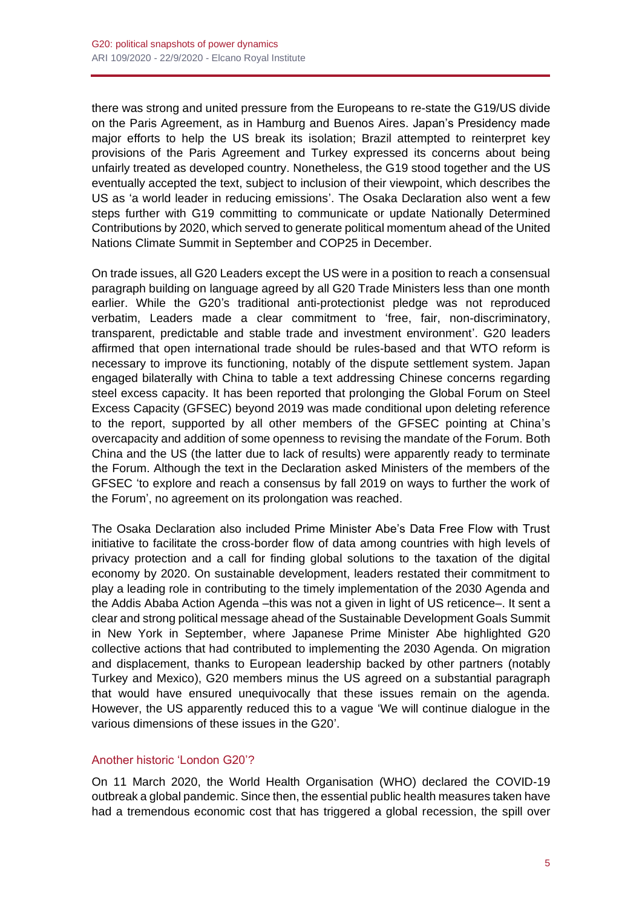there was strong and united pressure from the Europeans to re-state the G19/US divide on the Paris Agreement, as in Hamburg and Buenos Aires. Japan's Presidency made major efforts to help the US break its isolation; Brazil attempted to reinterpret key provisions of the Paris Agreement and Turkey expressed its concerns about being unfairly treated as developed country. Nonetheless, the G19 stood together and the US eventually accepted the text, subject to inclusion of their viewpoint, which describes the US as 'a world leader in reducing emissions'. The Osaka Declaration also went a few steps further with G19 committing to communicate or update Nationally Determined Contributions by 2020, which served to generate political momentum ahead of the United Nations Climate Summit in September and COP25 in December.

On trade issues, all G20 Leaders except the US were in a position to reach a consensual paragraph building on language agreed by all G20 Trade Ministers less than one month earlier. While the G20's traditional anti-protectionist pledge was not reproduced verbatim, Leaders made a clear commitment to 'free, fair, non-discriminatory, transparent, predictable and stable trade and investment environment'. G20 leaders affirmed that open international trade should be rules-based and that WTO reform is necessary to improve its functioning, notably of the dispute settlement system. Japan engaged bilaterally with China to table a text addressing Chinese concerns regarding steel excess capacity. It has been reported that prolonging the Global Forum on Steel Excess Capacity (GFSEC) beyond 2019 was made conditional upon deleting reference to the report, supported by all other members of the GFSEC pointing at China's overcapacity and addition of some openness to revising the mandate of the Forum. Both China and the US (the latter due to lack of results) were apparently ready to terminate the Forum. Although the text in the Declaration asked Ministers of the members of the GFSEC 'to explore and reach a consensus by fall 2019 on ways to further the work of the Forum', no agreement on its prolongation was reached.

The Osaka Declaration also included Prime Minister Abe's Data Free Flow with Trust initiative to facilitate the cross-border flow of data among countries with high levels of privacy protection and a call for finding global solutions to the taxation of the digital economy by 2020. On sustainable development, leaders restated their commitment to play a leading role in contributing to the timely implementation of the 2030 Agenda and the Addis Ababa Action Agenda –this was not a given in light of US reticence–. It sent a clear and strong political message ahead of the Sustainable Development Goals Summit in New York in September, where Japanese Prime Minister Abe highlighted G20 collective actions that had contributed to implementing the 2030 Agenda. On migration and displacement, thanks to European leadership backed by other partners (notably Turkey and Mexico), G20 members minus the US agreed on a substantial paragraph that would have ensured unequivocally that these issues remain on the agenda. However, the US apparently reduced this to a vague 'We will continue dialogue in the various dimensions of these issues in the G20'.

#### Another historic 'London G20'?

On 11 March 2020, the World Health Organisation (WHO) declared the COVID-19 outbreak a global pandemic. Since then, the essential public health measures taken have had a tremendous economic cost that has triggered a global recession, the spill over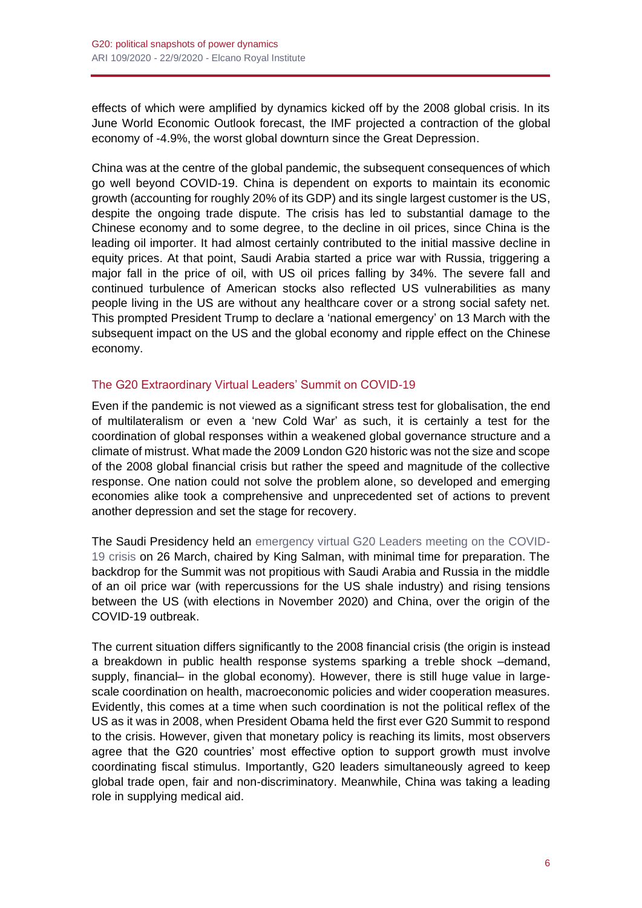effects of which were amplified by dynamics kicked off by the 2008 global crisis. In its June World Economic Outlook forecast, the IMF projected a contraction of the global economy of -4.9%, the worst global downturn since the Great Depression.

China was at the centre of the global pandemic, the subsequent consequences of which go well beyond COVID-19. China is dependent on exports to maintain its economic growth (accounting for roughly 20% of its GDP) and its single largest customer is the US, despite the ongoing trade dispute. The crisis has led to substantial damage to the Chinese economy and to some degree, to the decline in oil prices, since China is the leading oil importer. It had almost certainly contributed to the initial massive decline in equity prices. At that point, Saudi Arabia started a price war with Russia, triggering a major fall in the price of oil, with US oil prices falling by 34%. The severe fall and continued turbulence of American stocks also reflected US vulnerabilities as many people living in the US are without any healthcare cover or a strong social safety net. This prompted President Trump to declare a 'national emergency' on 13 March with the subsequent impact on the US and the global economy and ripple effect on the Chinese economy.

#### The G20 Extraordinary Virtual Leaders' Summit on COVID-19

Even if the pandemic is not viewed as a significant stress test for globalisation, the end of multilateralism or even a 'new Cold War' as such, it is certainly a test for the coordination of global responses within a weakened global governance structure and a climate of mistrust. What made the 2009 London G20 historic was not the size and scope of the 2008 global financial crisis but rather the speed and magnitude of the collective response. One nation could not solve the problem alone, so developed and emerging economies alike took a comprehensive and unprecedented set of actions to prevent another depression and set the stage for recovery.

The Saudi Presidency held an [emergency virtual G20 Leaders meeting on the COVID-](http://www.g20.utoronto.ca/2020/2020-g20-statement-0326.html)[19 crisis](http://www.g20.utoronto.ca/2020/2020-g20-statement-0326.html) on 26 March, chaired by King Salman, with minimal time for preparation. The backdrop for the Summit was not propitious with Saudi Arabia and Russia in the middle of an oil price war (with repercussions for the US shale industry) and rising tensions between the US (with elections in November 2020) and China, over the origin of the COVID-19 outbreak.

The current situation differs significantly to the 2008 financial crisis (the origin is instead a breakdown in public health response systems sparking a treble shock –demand, supply, financial– in the global economy). However, there is still huge value in largescale coordination on health, macroeconomic policies and wider cooperation measures. Evidently, this comes at a time when such coordination is not the political reflex of the US as it was in 2008, when President Obama held the first ever G20 Summit to respond to the crisis. However, given that monetary policy is reaching its limits, most observers agree that the G20 countries' most effective option to support growth must involve coordinating fiscal stimulus. Importantly, G20 leaders simultaneously agreed to keep global trade open, fair and non-discriminatory. Meanwhile, China was taking a leading role in supplying medical aid.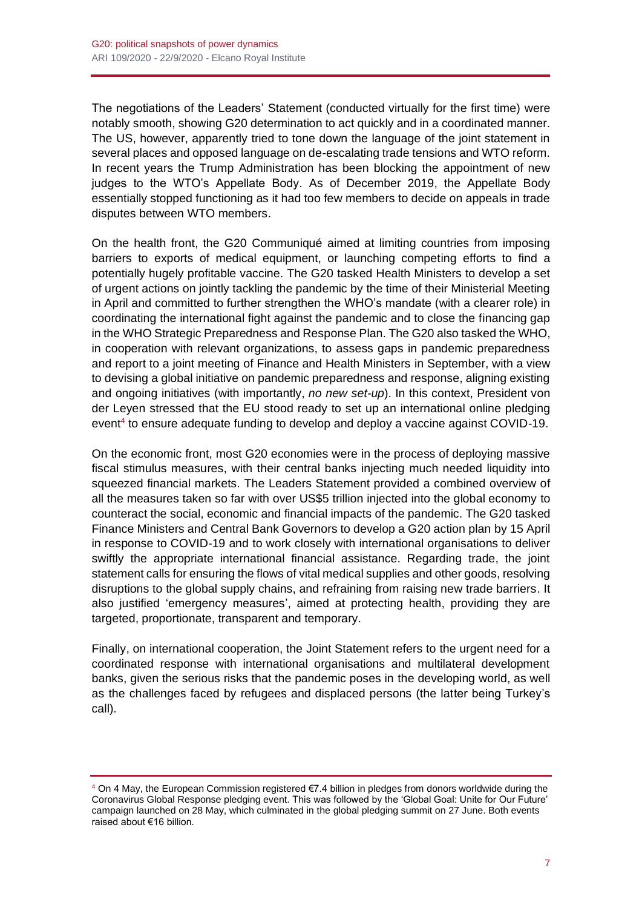The negotiations of the Leaders' Statement (conducted virtually for the first time) were notably smooth, showing G20 determination to act quickly and in a coordinated manner. The US, however, apparently tried to tone down the language of the joint statement in several places and opposed language on de-escalating trade tensions and WTO reform. In recent years the Trump Administration has been blocking the appointment of new judges to the WTO's Appellate Body. As of December 2019, the Appellate Body essentially stopped functioning as it had too few members to decide on appeals in trade disputes between WTO members.

On the health front, the G20 Communiqué aimed at limiting countries from imposing barriers to exports of medical equipment, or launching competing efforts to find a potentially hugely profitable vaccine. The G20 tasked Health Ministers to develop a set of urgent actions on jointly tackling the pandemic by the time of their Ministerial Meeting in April and committed to further strengthen the WHO's mandate (with a clearer role) in coordinating the international fight against the pandemic and to close the financing gap in the WHO Strategic Preparedness and Response Plan. The G20 also tasked the WHO, in cooperation with relevant organizations, to assess gaps in pandemic preparedness and report to a joint meeting of Finance and Health Ministers in September, with a view to devising a global initiative on pandemic preparedness and response, aligning existing and ongoing initiatives (with importantly, *no new set-up*). In this context, President von der Leyen stressed that the EU stood ready to set up an international online pledging event<sup>4</sup> to ensure adequate funding to develop and deploy a vaccine against COVID-19.

On the economic front, most G20 economies were in the process of deploying massive fiscal stimulus measures, with their central banks injecting much needed liquidity into squeezed financial markets. The Leaders Statement provided a combined overview of all the measures taken so far with over US\$5 trillion injected into the global economy to counteract the social, economic and financial impacts of the pandemic. The G20 tasked Finance Ministers and Central Bank Governors to develop a G20 action plan by 15 April in response to COVID-19 and to work closely with international organisations to deliver swiftly the appropriate international financial assistance. Regarding trade, the joint statement calls for ensuring the flows of vital medical supplies and other goods, resolving disruptions to the global supply chains, and refraining from raising new trade barriers. It also justified 'emergency measures', aimed at protecting health, providing they are targeted, proportionate, transparent and temporary.

Finally, on international cooperation, the Joint Statement refers to the urgent need for a coordinated response with international organisations and multilateral development banks, given the serious risks that the pandemic poses in the developing world, as well as the challenges faced by refugees and displaced persons (the latter being Turkey's call).

<sup>4</sup> On 4 May, the European Commission registered €7.4 billion in pledges from donors worldwide during the Coronavirus Global Response pledging event. This was followed by the 'Global Goal: Unite for Our Future' campaign launched on 28 May, which culminated in the global pledging summit on 27 June. Both events raised about €16 billion.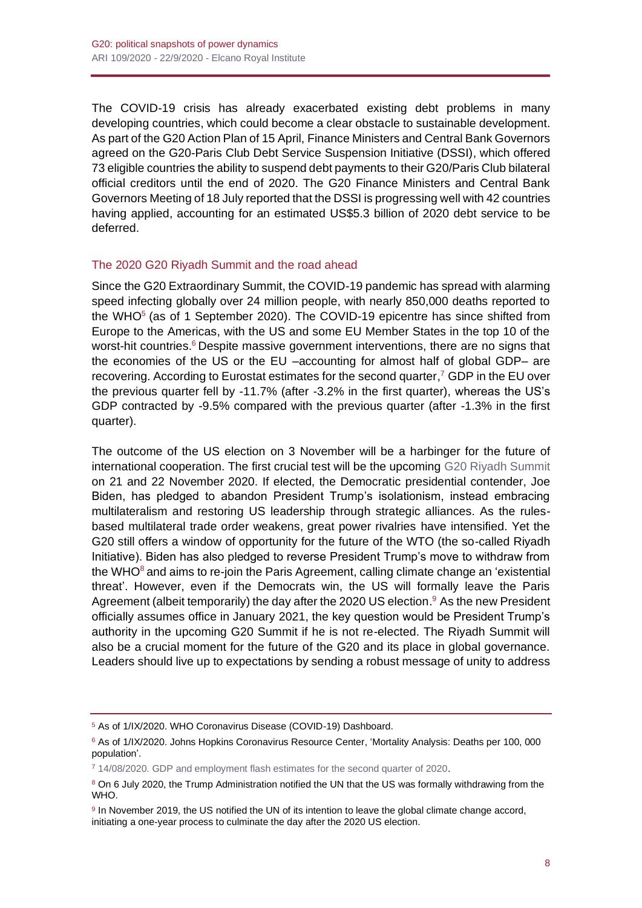The COVID-19 crisis has already exacerbated existing debt problems in many developing countries, which could become a clear obstacle to sustainable development. As part of the G20 Action Plan of 15 April, Finance Ministers and Central Bank Governors agreed on the G20-Paris Club Debt Service Suspension Initiative (DSSI), which offered 73 eligible countries the ability to suspend debt payments to their G20/Paris Club bilateral official creditors until the end of 2020. The G20 Finance Ministers and Central Bank Governors Meeting of 18 July reported that the DSSI is progressing well with 42 countries having applied, accounting for an estimated US\$5.3 billion of 2020 debt service to be deferred.

#### The 2020 G20 Riyadh Summit and the road ahead

Since the G20 Extraordinary Summit, the COVID-19 pandemic has spread with alarming speed infecting globally over 24 million people, with nearly 850,000 deaths reported to the WHO $<sup>5</sup>$  (as of 1 September 2020). The COVID-19 epicentre has since shifted from</sup> Europe to the Americas, with the US and some EU Member States in the top 10 of the worst-hit countries.<sup>6</sup> Despite massive government interventions, there are no signs that the economies of the US or the EU –accounting for almost half of global GDP– are recovering. According to Eurostat estimates for the second quarter,<sup>7</sup> GDP in the EU over the previous quarter fell by -11.7% (after -3.2% in the first quarter), whereas the US's GDP contracted by -9.5% compared with the previous quarter (after -1.3% in the first quarter).

The outcome of the US election on 3 November will be a harbinger for the future of international cooperation. The first crucial test will be the upcoming [G20 Riyadh Summit](http://www.g20.utoronto.ca/summits/2020riyadh.html) on 21 and 22 November 2020. If elected, the Democratic presidential contender, Joe Biden, has pledged to abandon President Trump's isolationism, instead embracing multilateralism and restoring US leadership through strategic alliances. As the rulesbased multilateral trade order weakens, great power rivalries have intensified. Yet the G20 still offers a window of opportunity for the future of the WTO (the so-called Riyadh Initiative). Biden has also pledged to reverse President Trump's move to withdraw from the WHO $^8$  and aims to re-join the Paris Agreement, calling climate change an 'existential threat'. However, even if the Democrats win, the US will formally leave the Paris Agreement (albeit temporarily) the day after the 2020 US election.<sup>9</sup> As the new President officially assumes office in January 2021, the key question would be President Trump's authority in the upcoming G20 Summit if he is not re-elected. The Riyadh Summit will also be a crucial moment for the future of the G20 and its place in global governance. Leaders should live up to expectations by sending a robust message of unity to address

<sup>5</sup> As of 1/IX/2020. WHO Coronavirus Disease (COVID-19) Dashboard.

<sup>6</sup> As of 1/IX/2020. Johns Hopkins Coronavirus Resource Center, 'Mortality Analysis: Deaths per 100, 000 population'.

<sup>7</sup> [14/08/2020. GDP and employment flash estimates for the second quarter of 2020.](https://ec.europa.eu/eurostat/news/news-releases)

<sup>8</sup> On 6 July 2020, the Trump Administration notified the UN that the US was formally withdrawing from the WHO.

<sup>9</sup> In November 2019, the US notified the UN of its intention to leave the global climate change accord, initiating a one-year process to culminate the day after the 2020 US election.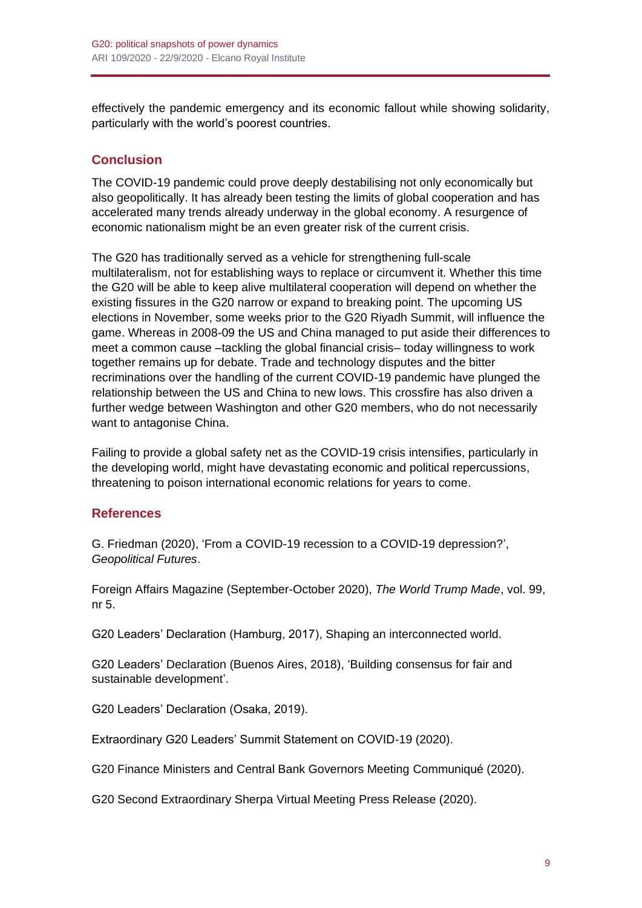effectively the pandemic emergency and its economic fallout while showing solidarity, particularly with the world's poorest countries.

# **Conclusion**

The COVID-19 pandemic could prove deeply destabilising not only economically but also geopolitically. It has already been testing the limits of global cooperation and has accelerated many trends already underway in the global economy. A resurgence of economic nationalism might be an even greater risk of the current crisis.

The G20 has traditionally served as a vehicle for strengthening full-scale multilateralism, not for establishing ways to replace or circumvent it. Whether this time the G20 will be able to keep alive multilateral cooperation will depend on whether the existing fissures in the G20 narrow or expand to breaking point. The upcoming US elections in November, some weeks prior to the G20 Riyadh Summit, will influence the game. Whereas in 2008-09 the US and China managed to put aside their differences to meet a common cause –tackling the global financial crisis– today willingness to work together remains up for debate. Trade and technology disputes and the bitter recriminations over the handling of the current COVID-19 pandemic have plunged the relationship between the US and China to new lows. This crossfire has also driven a further wedge between Washington and other G20 members, who do not necessarily want to antagonise China.

Failing to provide a global safety net as the COVID-19 crisis intensifies, particularly in the developing world, might have devastating economic and political repercussions, threatening to poison international economic relations for years to come.

## **References**

G. Friedman (2020), 'From a COVID-19 recession to a COVID-19 depression?', *Geopolitical Futures*.

Foreign Affairs Magazine (September-October 2020), *The World Trump Made*, vol. 99, nr 5.

G20 Leaders' Declaration (Hamburg, 2017), Shaping an interconnected world.

G20 Leaders' Declaration (Buenos Aires, 2018), 'Building consensus for fair and sustainable development'.

G20 Leaders' Declaration (Osaka, 2019).

Extraordinary G20 Leaders' Summit Statement on COVID-19 (2020).

G20 Finance Ministers and Central Bank Governors Meeting Communiqué (2020).

G20 Second Extraordinary Sherpa Virtual Meeting Press Release (2020).